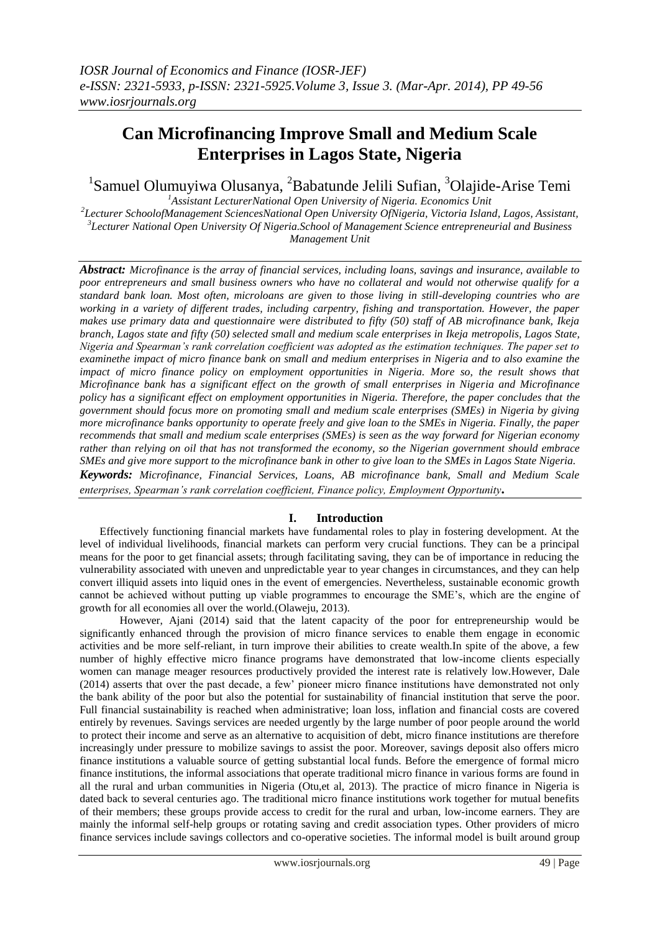# **Can Microfinancing Improve Small and Medium Scale Enterprises in Lagos State, Nigeria**

<sup>1</sup>Samuel Olumuyiwa Olusanya, <sup>2</sup>Babatunde Jelili Sufian, <sup>3</sup>Olajide-Arise Temi *<sup>1</sup>Assistant LecturerNational Open University of Nigeria. Economics Unit*

*2 Lecturer SchoolofManagement SciencesNational Open University OfNigeria, Victoria Island, Lagos, Assistant, 3 Lecturer National Open University Of Nigeria.School of Management Science entrepreneurial and Business Management Unit*

*Abstract: Microfinance is the array of financial services, including loans, savings and insurance, available to poor entrepreneurs and small business owners who have no collateral and would not otherwise qualify for a standard bank loan. Most often, microloans are given to those living in still-developing countries who are working in a variety of different trades, including carpentry, fishing and transportation. However, the paper makes use primary data and questionnaire were distributed to fifty (50) staff of AB microfinance bank, Ikeja branch, Lagos state and fifty (50) selected small and medium scale enterprises in Ikeja metropolis, Lagos State, Nigeria and Spearman's rank correlation coefficient was adopted as the estimation techniques. The paper set to examinethe impact of micro finance bank on small and medium enterprises in Nigeria and to also examine the impact of micro finance policy on employment opportunities in Nigeria. More so, the result shows that Microfinance bank has a significant effect on the growth of small enterprises in Nigeria and Microfinance policy has a significant effect on employment opportunities in Nigeria. Therefore, the paper concludes that the government should focus more on promoting small and medium scale enterprises (SMEs) in Nigeria by giving more microfinance banks opportunity to operate freely and give loan to the SMEs in Nigeria. Finally, the paper recommends that small and medium scale enterprises (SMEs) is seen as the way forward for Nigerian economy rather than relying on oil that has not transformed the economy, so the Nigerian government should embrace SMEs and give more support to the microfinance bank in other to give loan to the SMEs in Lagos State Nigeria. Keywords: Microfinance, Financial Services, Loans, AB microfinance bank, Small and Medium Scale enterprises, Spearman's rank correlation coefficient, Finance policy, Employment Opportunity.*

## **I. Introduction**

Effectively functioning financial markets have fundamental roles to play in fostering development. At the level of individual livelihoods, financial markets can perform very crucial functions. They can be a principal means for the poor to get financial assets; through facilitating saving, they can be of importance in reducing the vulnerability associated with uneven and unpredictable year to year changes in circumstances, and they can help convert illiquid assets into liquid ones in the event of emergencies. Nevertheless, sustainable economic growth cannot be achieved without putting up viable programmes to encourage the SME's, which are the engine of growth for all economies all over the world.(Olaweju, 2013).

However, Ajani (2014) said that the latent capacity of the poor for entrepreneurship would be significantly enhanced through the provision of micro finance services to enable them engage in economic activities and be more self-reliant, in turn improve their abilities to create wealth.In spite of the above, a few number of highly effective micro finance programs have demonstrated that low-income clients especially women can manage meager resources productively provided the interest rate is relatively low.However, Dale (2014) asserts that over the past decade, a few' pioneer micro finance institutions have demonstrated not only the bank ability of the poor but also the potential for sustainability of financial institution that serve the poor. Full financial sustainability is reached when administrative; loan loss, inflation and financial costs are covered entirely by revenues. Savings services are needed urgently by the large number of poor people around the world to protect their income and serve as an alternative to acquisition of debt, micro finance institutions are therefore increasingly under pressure to mobilize savings to assist the poor. Moreover, savings deposit also offers micro finance institutions a valuable source of getting substantial local funds. Before the emergence of formal micro finance institutions, the informal associations that operate traditional micro finance in various forms are found in all the rural and urban communities in Nigeria (Otu,et al, 2013). The practice of micro finance in Nigeria is dated back to several centuries ago. The traditional micro finance institutions work together for mutual benefits of their members; these groups provide access to credit for the rural and urban, low-income earners. They are mainly the informal self-help groups or rotating saving and credit association types. Other providers of micro finance services include savings collectors and co-operative societies. The informal model is built around group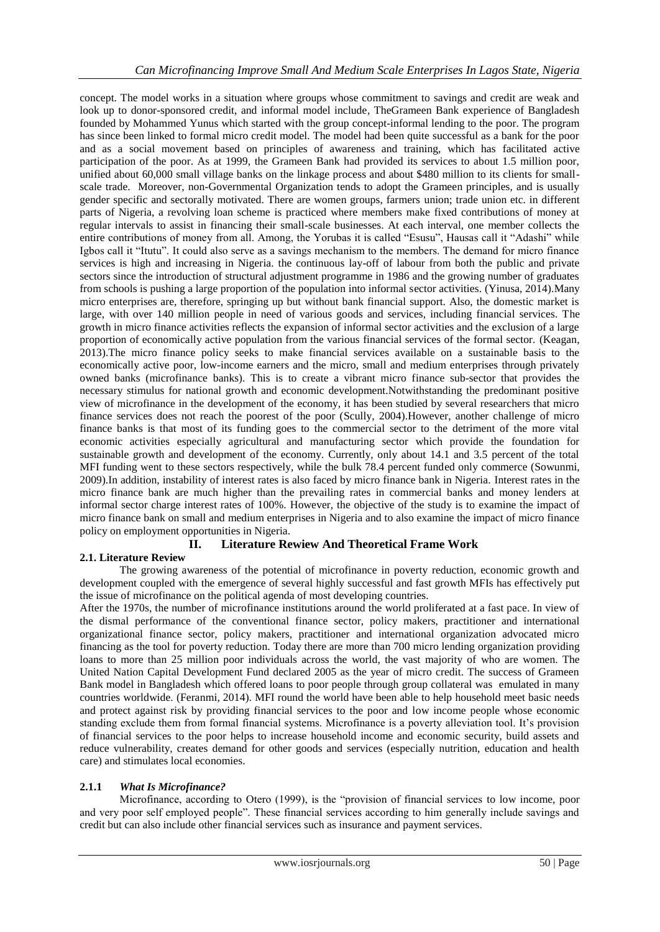concept. The model works in a situation where groups whose commitment to savings and credit are weak and look up to donor-sponsored credit, and informal model include, TheGrameen Bank experience of Bangladesh founded by Mohammed Yunus which started with the group concept-informal lending to the poor. The program has since been linked to formal micro credit model. The model had been quite successful as a bank for the poor and as a social movement based on principles of awareness and training, which has facilitated active participation of the poor. As at 1999, the Grameen Bank had provided its services to about 1.5 million poor, unified about 60,000 small village banks on the linkage process and about \$480 million to its clients for smallscale trade. Moreover, non-Governmental Organization tends to adopt the Grameen principles, and is usually gender specific and sectorally motivated. There are women groups, farmers union; trade union etc. in different parts of Nigeria, a revolving loan scheme is practiced where members make fixed contributions of money at regular intervals to assist in financing their small-scale businesses. At each interval, one member collects the entire contributions of money from all. Among, the Yorubas it is called "Esusu", Hausas call it "Adashi" while Igbos call it "Itutu". It could also serve as a savings mechanism to the members. The demand for micro finance services is high and increasing in Nigeria. the continuous lay-off of labour from both the public and private sectors since the introduction of structural adjustment programme in 1986 and the growing number of graduates from schools is pushing a large proportion of the population into informal sector activities. (Yinusa, 2014).Many micro enterprises are, therefore, springing up but without bank financial support. Also, the domestic market is large, with over 140 million people in need of various goods and services, including financial services. The growth in micro finance activities reflects the expansion of informal sector activities and the exclusion of a large proportion of economically active population from the various financial services of the formal sector. (Keagan, 2013).The micro finance policy seeks to make financial services available on a sustainable basis to the economically active poor, low-income earners and the micro, small and medium enterprises through privately owned banks (microfinance banks). This is to create a vibrant micro finance sub-sector that provides the necessary stimulus for national growth and economic development.Notwithstanding the predominant positive view of microfinance in the development of the economy, it has been studied by several researchers that micro finance services does not reach the poorest of the poor (Scully, 2004).However, another challenge of micro finance banks is that most of its funding goes to the commercial sector to the detriment of the more vital economic activities especially agricultural and manufacturing sector which provide the foundation for sustainable growth and development of the economy. Currently, only about 14.1 and 3.5 percent of the total MFI funding went to these sectors respectively, while the bulk 78.4 percent funded only commerce (Sowunmi, 2009).In addition, instability of interest rates is also faced by micro finance bank in Nigeria. Interest rates in the micro finance bank are much higher than the prevailing rates in commercial banks and money lenders at informal sector charge interest rates of 100%. However, the objective of the study is to examine the impact of micro finance bank on small and medium enterprises in Nigeria and to also examine the impact of micro finance policy on employment opportunities in Nigeria.

## **II. Literature Rewiew And Theoretical Frame Work**

## **2.1. Literature Review**

The growing awareness of the potential of microfinance in poverty reduction, economic growth and development coupled with the emergence of several highly successful and fast growth MFIs has effectively put the issue of microfinance on the political agenda of most developing countries.

After the 1970s, the number of microfinance institutions around the world proliferated at a fast pace. In view of the dismal performance of the conventional finance sector, policy makers, practitioner and international organizational finance sector, policy makers, practitioner and international organization advocated micro financing as the tool for poverty reduction. Today there are more than 700 micro lending organization providing loans to more than 25 million poor individuals across the world, the vast majority of who are women. The United Nation Capital Development Fund declared 2005 as the year of micro credit. The success of Grameen Bank model in Bangladesh which offered loans to poor people through group collateral was emulated in many countries worldwide. (Feranmi, 2014). MFI round the world have been able to help household meet basic needs and protect against risk by providing financial services to the poor and low income people whose economic standing exclude them from formal financial systems. Microfinance is a poverty alleviation tool. It's provision of financial services to the poor helps to increase household income and economic security, build assets and reduce vulnerability, creates demand for other goods and services (especially nutrition, education and health care) and stimulates local economies.

## **2.1.1** *What Is Microfinance?*

Microfinance, according to Otero (1999), is the "provision of financial services to low income, poor and very poor self employed people". These financial services according to him generally include savings and credit but can also include other financial services such as insurance and payment services.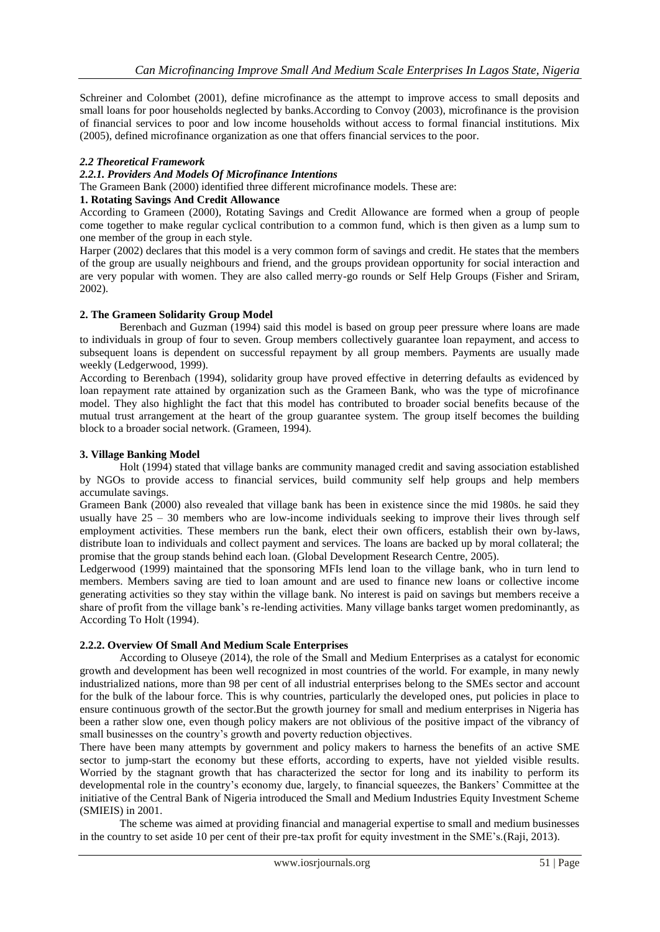Schreiner and Colombet (2001), define microfinance as the attempt to improve access to small deposits and small loans for poor households neglected by banks.According to Convoy (2003), microfinance is the provision of financial services to poor and low income households without access to formal financial institutions. Mix (2005), defined microfinance organization as one that offers financial services to the poor.

#### *2.2 Theoretical Framework*

## *2.2.1. Providers And Models Of Microfinance Intentions*

The Grameen Bank (2000) identified three different microfinance models. These are:

#### **1. Rotating Savings And Credit Allowance**

According to Grameen (2000), Rotating Savings and Credit Allowance are formed when a group of people come together to make regular cyclical contribution to a common fund, which is then given as a lump sum to one member of the group in each style.

Harper (2002) declares that this model is a very common form of savings and credit. He states that the members of the group are usually neighbours and friend, and the groups providean opportunity for social interaction and are very popular with women. They are also called merry-go rounds or Self Help Groups (Fisher and Sriram, 2002).

#### **2. The Grameen Solidarity Group Model**

Berenbach and Guzman (1994) said this model is based on group peer pressure where loans are made to individuals in group of four to seven. Group members collectively guarantee loan repayment, and access to subsequent loans is dependent on successful repayment by all group members. Payments are usually made weekly (Ledgerwood, 1999).

According to Berenbach (1994), solidarity group have proved effective in deterring defaults as evidenced by loan repayment rate attained by organization such as the Grameen Bank, who was the type of microfinance model. They also highlight the fact that this model has contributed to broader social benefits because of the mutual trust arrangement at the heart of the group guarantee system. The group itself becomes the building block to a broader social network. (Grameen, 1994).

#### **3. Village Banking Model**

Holt (1994) stated that village banks are community managed credit and saving association established by NGOs to provide access to financial services, build community self help groups and help members accumulate savings.

Grameen Bank (2000) also revealed that village bank has been in existence since the mid 1980s. he said they usually have  $25 - 30$  members who are low-income individuals seeking to improve their lives through self employment activities. These members run the bank, elect their own officers, establish their own by-laws, distribute loan to individuals and collect payment and services. The loans are backed up by moral collateral; the promise that the group stands behind each loan. (Global Development Research Centre, 2005).

Ledgerwood (1999) maintained that the sponsoring MFIs lend loan to the village bank, who in turn lend to members. Members saving are tied to loan amount and are used to finance new loans or collective income generating activities so they stay within the village bank. No interest is paid on savings but members receive a share of profit from the village bank's re-lending activities. Many village banks target women predominantly, as According To Holt (1994).

#### **2.2.2. Overview Of Small And Medium Scale Enterprises**

According to Oluseye (2014), the role of the Small and Medium Enterprises as a catalyst for economic growth and development has been well recognized in most countries of the world. For example, in many newly industrialized nations, more than 98 per cent of all industrial enterprises belong to the SMEs sector and account for the bulk of the labour force. This is why countries, particularly the developed ones, put policies in place to ensure continuous growth of the sector.But the growth journey for small and medium enterprises in Nigeria has been a rather slow one, even though policy makers are not oblivious of the positive impact of the vibrancy of small businesses on the country's growth and poverty reduction objectives.

There have been many attempts by government and policy makers to harness the benefits of an active SME sector to jump-start the economy but these efforts, according to experts, have not yielded visible results. Worried by the stagnant growth that has characterized the sector for long and its inability to perform its developmental role in the country's economy due, largely, to financial squeezes, the Bankers' Committee at the initiative of the Central Bank of Nigeria introduced the Small and Medium Industries Equity Investment Scheme (SMIEIS) in 2001.

The scheme was aimed at providing financial and managerial expertise to small and medium businesses in the country to set aside 10 per cent of their pre-tax profit for equity investment in the SME's.(Raji, 2013).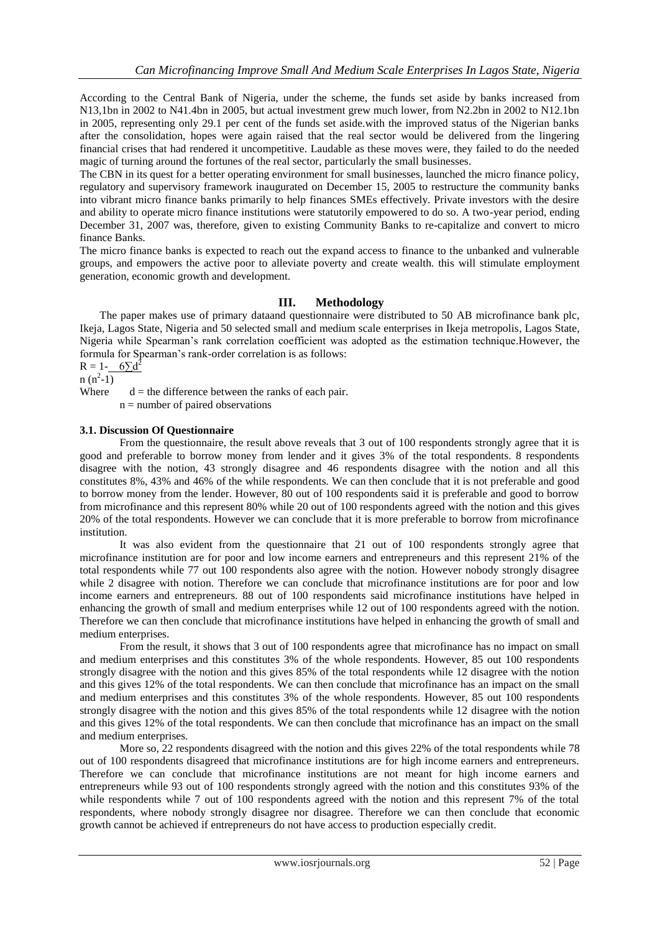According to the Central Bank of Nigeria, under the scheme, the funds set aside by banks increased from N13,1bn in 2002 to N41.4bn in 2005, but actual investment grew much lower, from N2.2bn in 2002 to N12.1bn in 2005, representing only 29.1 per cent of the funds set aside.with the improved status of the Nigerian banks after the consolidation, hopes were again raised that the real sector would be delivered from the lingering financial crises that had rendered it uncompetitive. Laudable as these moves were, they failed to do the needed magic of turning around the fortunes of the real sector, particularly the small businesses.

The CBN in its quest for a better operating environment for small businesses, launched the micro finance policy, regulatory and supervisory framework inaugurated on December 15, 2005 to restructure the community banks into vibrant micro finance banks primarily to help finances SMEs effectively. Private investors with the desire and ability to operate micro finance institutions were statutorily empowered to do so. A two-year period, ending December 31, 2007 was, therefore, given to existing Community Banks to re-capitalize and convert to micro finance Banks.

The micro finance banks is expected to reach out the expand access to finance to the unbanked and vulnerable groups, and empowers the active poor to alleviate poverty and create wealth. this will stimulate employment generation, economic growth and development.

## **III. Methodology**

The paper makes use of primary dataand questionnaire were distributed to 50 AB microfinance bank plc, Ikeja, Lagos State, Nigeria and 50 selected small and medium scale enterprises in Ikeja metropolis, Lagos State, Nigeria while Spearman's rank correlation coefficient was adopted as the estimation technique.However, the formula for Spearman's rank-order correlation is as follows:

 $R = 1 - 6\overline{\smash{)}d^2}$  $n(n^2-1)$ 

Where  $d =$  the difference between the ranks of each pair.

n = number of paired observations

#### **3.1. Discussion Of Questionnaire**

From the questionnaire, the result above reveals that 3 out of 100 respondents strongly agree that it is good and preferable to borrow money from lender and it gives 3% of the total respondents. 8 respondents disagree with the notion, 43 strongly disagree and 46 respondents disagree with the notion and all this constitutes 8%, 43% and 46% of the while respondents. We can then conclude that it is not preferable and good to borrow money from the lender. However, 80 out of 100 respondents said it is preferable and good to borrow from microfinance and this represent 80% while 20 out of 100 respondents agreed with the notion and this gives 20% of the total respondents. However we can conclude that it is more preferable to borrow from microfinance institution.

It was also evident from the questionnaire that 21 out of 100 respondents strongly agree that microfinance institution are for poor and low income earners and entrepreneurs and this represent 21% of the total respondents while 77 out 100 respondents also agree with the notion. However nobody strongly disagree while 2 disagree with notion. Therefore we can conclude that microfinance institutions are for poor and low income earners and entrepreneurs. 88 out of 100 respondents said microfinance institutions have helped in enhancing the growth of small and medium enterprises while 12 out of 100 respondents agreed with the notion. Therefore we can then conclude that microfinance institutions have helped in enhancing the growth of small and medium enterprises.

From the result, it shows that 3 out of 100 respondents agree that microfinance has no impact on small and medium enterprises and this constitutes 3% of the whole respondents. However, 85 out 100 respondents strongly disagree with the notion and this gives 85% of the total respondents while 12 disagree with the notion and this gives 12% of the total respondents. We can then conclude that microfinance has an impact on the small and medium enterprises and this constitutes 3% of the whole respondents. However, 85 out 100 respondents strongly disagree with the notion and this gives 85% of the total respondents while 12 disagree with the notion and this gives 12% of the total respondents. We can then conclude that microfinance has an impact on the small and medium enterprises.

More so, 22 respondents disagreed with the notion and this gives 22% of the total respondents while 78 out of 100 respondents disagreed that microfinance institutions are for high income earners and entrepreneurs. Therefore we can conclude that microfinance institutions are not meant for high income earners and entrepreneurs while 93 out of 100 respondents strongly agreed with the notion and this constitutes 93% of the while respondents while 7 out of 100 respondents agreed with the notion and this represent 7% of the total respondents, where nobody strongly disagree nor disagree. Therefore we can then conclude that economic growth cannot be achieved if entrepreneurs do not have access to production especially credit.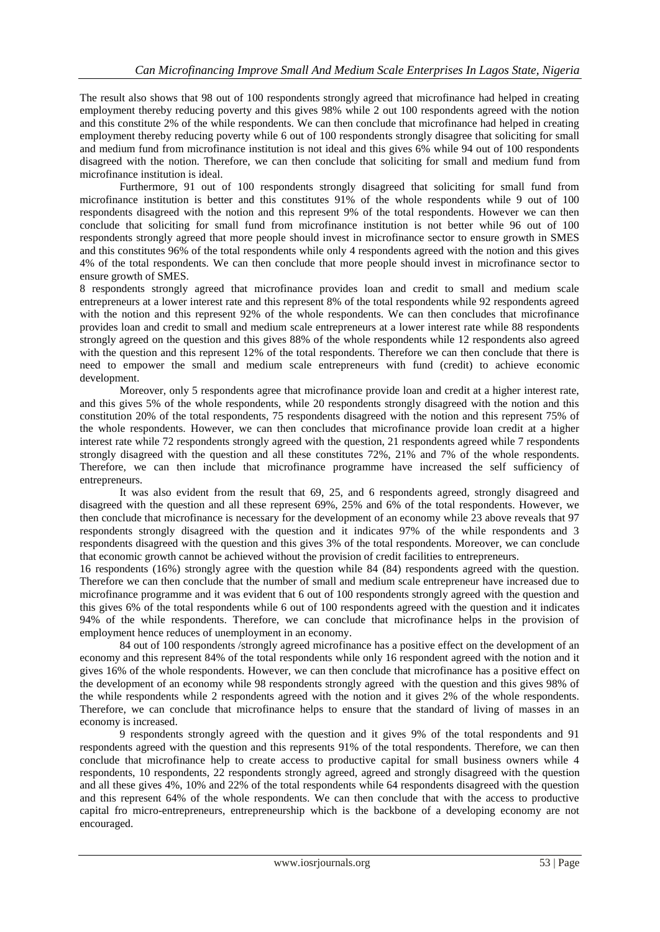The result also shows that 98 out of 100 respondents strongly agreed that microfinance had helped in creating employment thereby reducing poverty and this gives 98% while 2 out 100 respondents agreed with the notion and this constitute 2% of the while respondents. We can then conclude that microfinance had helped in creating employment thereby reducing poverty while 6 out of 100 respondents strongly disagree that soliciting for small and medium fund from microfinance institution is not ideal and this gives 6% while 94 out of 100 respondents disagreed with the notion. Therefore, we can then conclude that soliciting for small and medium fund from microfinance institution is ideal.

Furthermore, 91 out of 100 respondents strongly disagreed that soliciting for small fund from microfinance institution is better and this constitutes 91% of the whole respondents while 9 out of 100 respondents disagreed with the notion and this represent 9% of the total respondents. However we can then conclude that soliciting for small fund from microfinance institution is not better while 96 out of 100 respondents strongly agreed that more people should invest in microfinance sector to ensure growth in SMES and this constitutes 96% of the total respondents while only 4 respondents agreed with the notion and this gives 4% of the total respondents. We can then conclude that more people should invest in microfinance sector to ensure growth of SMES.

8 respondents strongly agreed that microfinance provides loan and credit to small and medium scale entrepreneurs at a lower interest rate and this represent 8% of the total respondents while 92 respondents agreed with the notion and this represent 92% of the whole respondents. We can then concludes that microfinance provides loan and credit to small and medium scale entrepreneurs at a lower interest rate while 88 respondents strongly agreed on the question and this gives 88% of the whole respondents while 12 respondents also agreed with the question and this represent 12% of the total respondents. Therefore we can then conclude that there is need to empower the small and medium scale entrepreneurs with fund (credit) to achieve economic development.

Moreover, only 5 respondents agree that microfinance provide loan and credit at a higher interest rate, and this gives 5% of the whole respondents, while 20 respondents strongly disagreed with the notion and this constitution 20% of the total respondents, 75 respondents disagreed with the notion and this represent 75% of the whole respondents. However, we can then concludes that microfinance provide loan credit at a higher interest rate while 72 respondents strongly agreed with the question, 21 respondents agreed while 7 respondents strongly disagreed with the question and all these constitutes 72%, 21% and 7% of the whole respondents. Therefore, we can then include that microfinance programme have increased the self sufficiency of entrepreneurs.

It was also evident from the result that 69, 25, and 6 respondents agreed, strongly disagreed and disagreed with the question and all these represent 69%, 25% and 6% of the total respondents. However, we then conclude that microfinance is necessary for the development of an economy while 23 above reveals that 97 respondents strongly disagreed with the question and it indicates 97% of the while respondents and 3 respondents disagreed with the question and this gives 3% of the total respondents. Moreover, we can conclude that economic growth cannot be achieved without the provision of credit facilities to entrepreneurs.

16 respondents (16%) strongly agree with the question while 84 (84) respondents agreed with the question. Therefore we can then conclude that the number of small and medium scale entrepreneur have increased due to microfinance programme and it was evident that 6 out of 100 respondents strongly agreed with the question and this gives 6% of the total respondents while 6 out of 100 respondents agreed with the question and it indicates 94% of the while respondents. Therefore, we can conclude that microfinance helps in the provision of employment hence reduces of unemployment in an economy.

84 out of 100 respondents /strongly agreed microfinance has a positive effect on the development of an economy and this represent 84% of the total respondents while only 16 respondent agreed with the notion and it gives 16% of the whole respondents. However, we can then conclude that microfinance has a positive effect on the development of an economy while 98 respondents strongly agreed with the question and this gives 98% of the while respondents while 2 respondents agreed with the notion and it gives 2% of the whole respondents. Therefore, we can conclude that microfinance helps to ensure that the standard of living of masses in an economy is increased.

9 respondents strongly agreed with the question and it gives 9% of the total respondents and 91 respondents agreed with the question and this represents 91% of the total respondents. Therefore, we can then conclude that microfinance help to create access to productive capital for small business owners while 4 respondents, 10 respondents, 22 respondents strongly agreed, agreed and strongly disagreed with the question and all these gives 4%, 10% and 22% of the total respondents while 64 respondents disagreed with the question and this represent 64% of the whole respondents. We can then conclude that with the access to productive capital fro micro-entrepreneurs, entrepreneurship which is the backbone of a developing economy are not encouraged.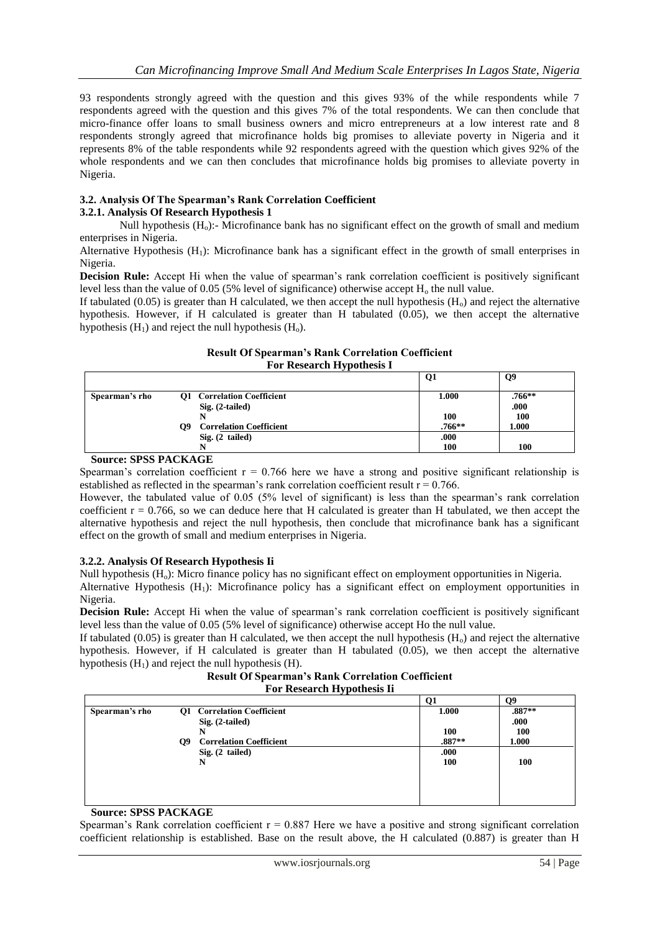93 respondents strongly agreed with the question and this gives 93% of the while respondents while 7 respondents agreed with the question and this gives 7% of the total respondents. We can then conclude that micro-finance offer loans to small business owners and micro entrepreneurs at a low interest rate and 8 respondents strongly agreed that microfinance holds big promises to alleviate poverty in Nigeria and it represents 8% of the table respondents while 92 respondents agreed with the question which gives 92% of the whole respondents and we can then concludes that microfinance holds big promises to alleviate poverty in Nigeria.

## **3.2. Analysis Of The Spearman's Rank Correlation Coefficient**

## **3.2.1. Analysis Of Research Hypothesis 1**

Null hypothesis  $(H_0)$ :- Microfinance bank has no significant effect on the growth of small and medium enterprises in Nigeria.

Alternative Hypothesis  $(H_1)$ : Microfinance bank has a significant effect in the growth of small enterprises in Nigeria.

**Decision Rule:** Accept Hi when the value of spearman's rank correlation coefficient is positively significant level less than the value of 0.05 (5% level of significance) otherwise accept  $H_0$  the null value.

If tabulated  $(0.05)$  is greater than H calculated, we then accept the null hypothesis  $(H_0)$  and reject the alternative hypothesis. However, if H calculated is greater than H tabulated (0.05), we then accept the alternative hypothesis  $(H_1)$  and reject the null hypothesis  $(H_0)$ .

#### **Result Of Spearman's Rank Correlation Coefficient For Research Hypothesis I**

|                |                                      | Q1     | Q9         |
|----------------|--------------------------------------|--------|------------|
| Spearman's rho | <b>Q1</b> Correlation Coefficient    | 1.000  | $.766**$   |
|                | $Sig. (2-tailed)$                    |        | .000       |
|                |                                      | 100    | <b>100</b> |
|                | <b>Correlation Coefficient</b><br>O9 | .766** | 1.000      |
|                | $Sig. (2$ tailed)                    | .000   |            |
|                |                                      | 100    | 100        |

#### **Source: SPSS PACKAGE**

Spearman's correlation coefficient  $r = 0.766$  here we have a strong and positive significant relationship is established as reflected in the spearman's rank correlation coefficient result  $r = 0.766$ .

However, the tabulated value of 0.05 (5% level of significant) is less than the spearman's rank correlation coefficient  $r = 0.766$ , so we can deduce here that H calculated is greater than H tabulated, we then accept the alternative hypothesis and reject the null hypothesis, then conclude that microfinance bank has a significant effect on the growth of small and medium enterprises in Nigeria.

## **3.2.2. Analysis Of Research Hypothesis Ii**

Null hypothesis (H<sub>o</sub>): Micro finance policy has no significant effect on employment opportunities in Nigeria.

Alternative Hypothesis  $(H<sub>1</sub>)$ : Microfinance policy has a significant effect on employment opportunities in Nigeria.

**Decision Rule:** Accept Hi when the value of spearman's rank correlation coefficient is positively significant level less than the value of 0.05 (5% level of significance) otherwise accept Ho the null value.

If tabulated (0.05) is greater than H calculated, we then accept the null hypothesis  $(H_0)$  and reject the alternative hypothesis. However, if H calculated is greater than H tabulated (0.05), we then accept the alternative hypothesis  $(H<sub>1</sub>)$  and reject the null hypothesis  $(H)$ .

**Result Of Spearman's Rank Correlation Coefficient For Research Hypothesis Ii**

|                |                                      |          | Ω9         |
|----------------|--------------------------------------|----------|------------|
| Spearman's rho | Q1 Correlation Coefficient           | 1.000    | $.887**$   |
|                | $Sig. (2-tailed)$                    |          | .000       |
|                |                                      | 100      | <b>100</b> |
|                | <b>Correlation Coefficient</b><br>Q9 | $.887**$ | 1.000      |
|                | $Sig. (2-tailed)$                    | .000     |            |
|                | N                                    | 100      | <b>100</b> |
|                |                                      |          |            |
|                |                                      |          |            |
|                |                                      |          |            |
|                |                                      |          |            |

#### **Source: SPSS PACKAGE**

Spearman's Rank correlation coefficient  $r = 0.887$  Here we have a positive and strong significant correlation coefficient relationship is established. Base on the result above, the H calculated (0.887) is greater than H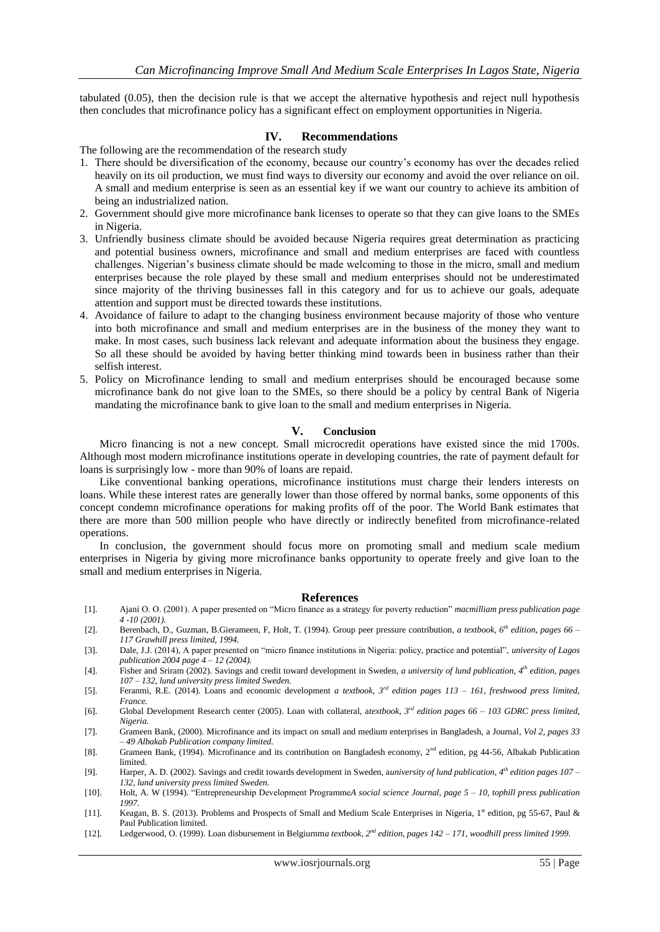tabulated (0.05), then the decision rule is that we accept the alternative hypothesis and reject null hypothesis then concludes that microfinance policy has a significant effect on employment opportunities in Nigeria.

#### **IV. Recommendations**

The following are the recommendation of the research study

- 1. There should be diversification of the economy, because our country's economy has over the decades relied heavily on its oil production, we must find ways to diversity our economy and avoid the over reliance on oil. A small and medium enterprise is seen as an essential key if we want our country to achieve its ambition of being an industrialized nation.
- 2. Government should give more microfinance bank licenses to operate so that they can give loans to the SMEs in Nigeria.
- 3. Unfriendly business climate should be avoided because Nigeria requires great determination as practicing and potential business owners, microfinance and small and medium enterprises are faced with countless challenges. Nigerian's business climate should be made welcoming to those in the micro, small and medium enterprises because the role played by these small and medium enterprises should not be underestimated since majority of the thriving businesses fall in this category and for us to achieve our goals, adequate attention and support must be directed towards these institutions.
- 4. Avoidance of failure to adapt to the changing business environment because majority of those who venture into both microfinance and small and medium enterprises are in the business of the money they want to make. In most cases, such business lack relevant and adequate information about the business they engage. So all these should be avoided by having better thinking mind towards been in business rather than their selfish interest.
- 5. Policy on Microfinance lending to small and medium enterprises should be encouraged because some microfinance bank do not give loan to the SMEs, so there should be a policy by central Bank of Nigeria mandating the microfinance bank to give loan to the small and medium enterprises in Nigeria.

#### **V. Conclusion**

Micro financing is not a new concept. Small microcredit operations have existed since the mid 1700s. Although most modern microfinance institutions operate in developing countries, the rate of payment default for loans is surprisingly low - more than 90% of loans are repaid.

Like conventional banking operations, microfinance institutions must charge their lenders interests on loans. While these interest rates are generally lower than those offered by normal banks, some opponents of this concept condemn microfinance operations for making profits off of the poor. The World Bank estimates that there are more than 500 million people who have directly or indirectly benefited from microfinance-related operations.

In conclusion, the government should focus more on promoting small and medium scale medium enterprises in Nigeria by giving more microfinance banks opportunity to operate freely and give loan to the small and medium enterprises in Nigeria.

#### **References**

- [1]. Ajani O. O. (2001). A paper presented on "Micro finance as a strategy for poverty reduction" *macmilliam press publication page 4 -10 (2001).*
- [2]. Berenbach, D., Guzman, B.Gierameen, F, Holt, T. (1994). Group peer pressure contribution*, a textbook, 6th edition, pages 66 – 117 Grawhill press limited, 1994.*
- [3]. Dale, J.J. (2014), A paper presented on "micro finance institutions in Nigeria: policy, practice and potential", *university of Lagos publication 2004 page 4 – 12 (2004).*
- [4]. Fisher and Sriram (2002). Savings and credit toward development in Sweden, *a university of lund publication, 4th edition, pages 107 – 132, lund university press limited Sweden.*
- [5]. Feranmi, R.E. (2014). Loans and economic development *a textbook, 3rd edition pages 113 – 161, freshwood press limited, France.*
- [6]. Global Development Research center (2005). Loan with collateral, a*textbook, 3rd edition pages 66 – 103 GDRC press limited, Nigeria.*
- [7]. Grameen Bank, (2000). Microfinance and its impact on small and medium enterprises in Bangladesh, a Journal*, Vol 2, pages 33 – 49 Albakab Publication company limited.*
- [8]. Grameen Bank, (1994). Microfinance and its contribution on Bangladesh economy, 2<sup>nd</sup> edition, pg 44-56, Albakab Publication limited.
- [9]. Harper, A. D. (2002). Savings and credit towards development in Sweden, a*university of lund publication, 4th edition pages 107 – 132, lund university press limited Sweden.*
- [10]. Holt, A. W (1994). "Entrepreneurship Development Programme*A social science Journal, page 5 – 10, tophill press publication 1997.*
- [11]. Keagan, B. S. (2013). Problems and Prospects of Small and Medium Scale Enterprises in Nigeria, 1<sup>st</sup> edition, pg 55-67, Paul & Paul Publication limited.
- [12]. Ledgerwood, O. (1999). Loan disbursement in Belgiurnm*a textbook, 2nd edition, pages 142 – 171, woodhill press limited 1999.*